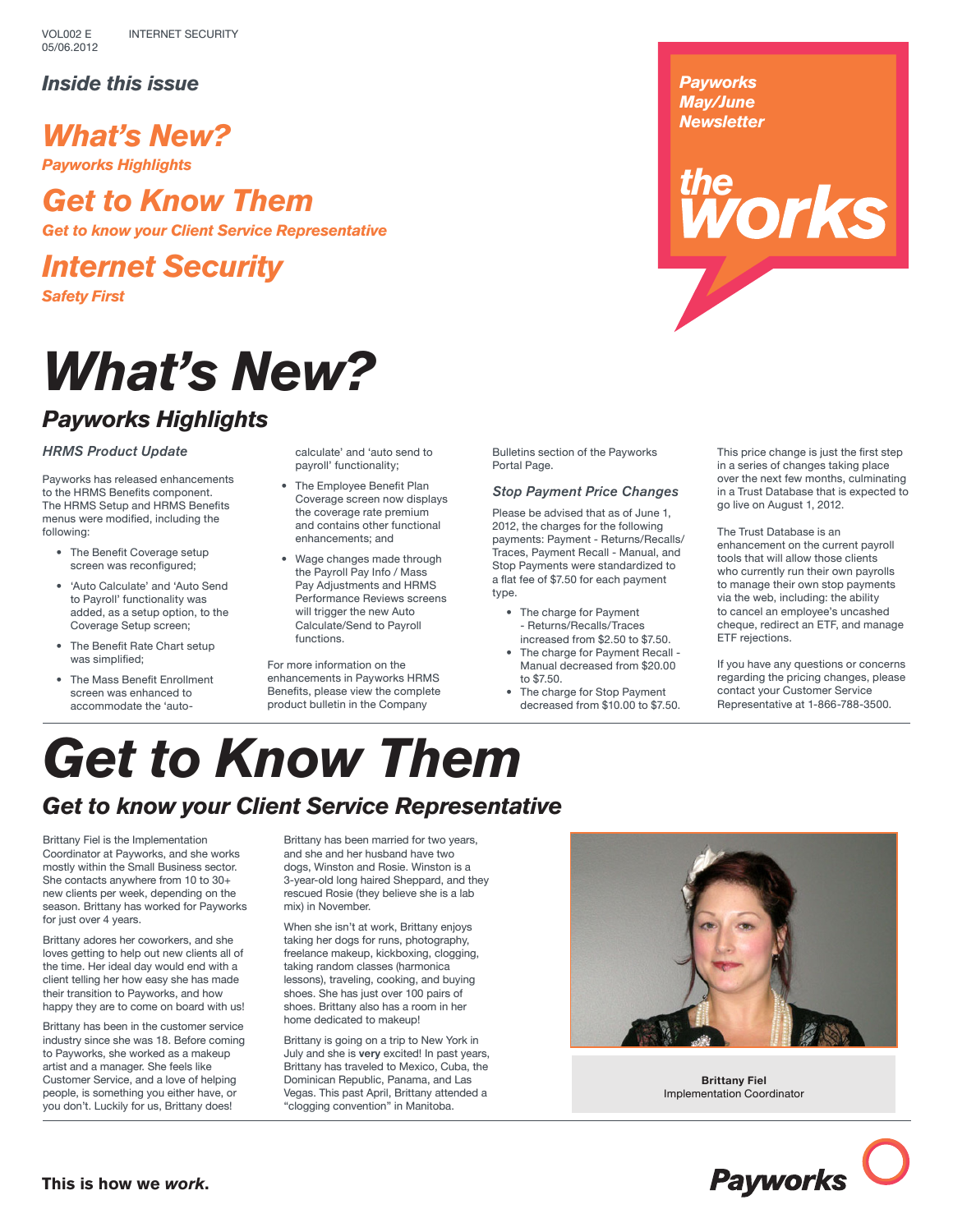## *Inside this issue*

# *What's New?*

*Payworks Highlights*

# *Get to Know Them*

*Get to know your Client Service Representative*

*Internet Security*

*Safety First*

# *What's New?*

## *Payworks Highlights*

### *HRMS Product Update*

Payworks has released enhancements to the HRMS Benefits component. The HRMS Setup and HRMS Benefits menus were modified, including the following:

- The Benefit Coverage setup screen was reconfigured;
- 'Auto Calculate' and 'Auto Send to Payroll' functionality was added, as a setup option, to the Coverage Setup screen;
- The Benefit Rate Chart setup was simplified:
- The Mass Benefit Enrollment screen was enhanced to accommodate the 'auto-

calculate' and 'auto send to payroll' functionality;

- The Employee Benefit Plan Coverage screen now displays the coverage rate premium and contains other functional enhancements; and
- Wage changes made through the Payroll Pay Info / Mass Pay Adjustments and HRMS Performance Reviews screens will trigger the new Auto Calculate/Send to Payroll functions.

For more information on the enhancements in Payworks HRMS Benefits, please view the complete product bulletin in the Company

Bulletins section of the Payworks Portal Page.

### *Stop Payment Price Changes*

Please be advised that as of June 1, 2012, the charges for the following payments: Payment - Returns/Recalls/ Traces, Payment Recall - Manual, and Stop Payments were standardized to a flat fee of \$7.50 for each payment type.

- The charge for Payment - Returns/Recalls/Traces increased from \$2.50 to \$7.50.
- The charge for Payment Recall Manual decreased from \$20.00 to \$7.50.
- The charge for Stop Payment decreased from \$10.00 to \$7.50.

This price change is just the first step in a series of changes taking place over the next few months, culminating in a Trust Database that is expected to go live on August 1, 2012.

*thermal* 

*Payworks May/June Newsletter*

> The Trust Database is an enhancement on the current payroll tools that will allow those clients who currently run their own payrolls to manage their own stop payments via the web, including: the ability to cancel an employee's uncashed cheque, redirect an ETF, and manage ETF rejections.

If you have any questions or concerns regarding the pricing changes, please contact your Customer Service Representative at 1-866-788-3500.

# *Get to Know Them*

## *Get to know your Client Service Representative*

Brittany Fiel is the Implementation Coordinator at Payworks, and she works mostly within the Small Business sector. She contacts anywhere from 10 to 30+ new clients per week, depending on the season. Brittany has worked for Payworks for just over 4 years.

Brittany adores her coworkers, and she loves getting to help out new clients all of the time. Her ideal day would end with a client telling her how easy she has made their transition to Payworks, and how happy they are to come on board with us!

Brittany has been in the customer service industry since she was 18. Before coming to Payworks, she worked as a makeup artist and a manager. She feels like Customer Service, and a love of helping people, is something you either have, or you don't. Luckily for us, Brittany does!

Brittany has been married for two years, and she and her husband have two dogs, Winston and Rosie. Winston is a 3-year-old long haired Sheppard, and they rescued Rosie (they believe she is a lab mix) in November.

When she isn't at work, Brittany enjoys taking her dogs for runs, photography, freelance makeup, kickboxing, clogging, taking random classes (harmonica lessons), traveling, cooking, and buying shoes. She has just over 100 pairs of shoes. Brittany also has a room in her home dedicated to makeup!

Brittany is going on a trip to New York in July and she is **very** excited! In past years, Brittany has traveled to Mexico, Cuba, the Dominican Republic, Panama, and Las Vegas. This past April, Brittany attended a "clogging convention" in Manitoba.



**Brittany Fiel** Implementation Coordinator